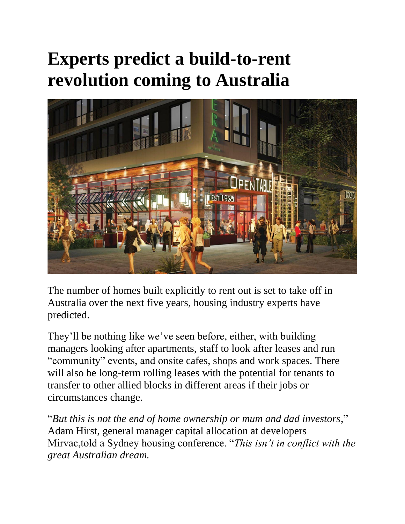## **Experts predict a build-to-rent revolution coming to Australia**



The number of homes built explicitly to rent out is set to take off in Australia over the next five years, housing industry experts have predicted.

They'll be nothing like we've seen before, either, with building managers looking after apartments, staff to look after leases and run "community" events, and onsite cafes, shops and work spaces. There will also be long-term rolling leases with the potential for tenants to transfer to other allied blocks in different areas if their jobs or circumstances change.

"*But this is not the end of home ownership or mum and dad investors*," Adam Hirst, general manager capital allocation at developers Mirvac,told a Sydney housing conference. "*This isn't in conflict with the great Australian dream.*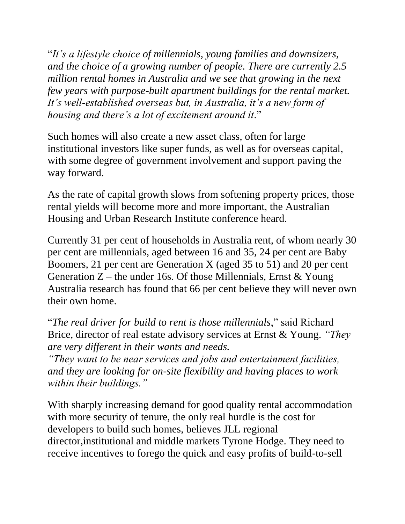"*It's a lifestyle choice of millennials, young families and downsizers, and the choice of a growing number of people. There are currently 2.5 million rental homes in Australia and we see that growing in the next few years with purpose-built apartment buildings for the rental market. It's well-established overseas but, in Australia, it's a new form of housing and there's a lot of excitement around it*."

Such homes will also create a new asset class, often for large institutional investors like super funds, as well as for overseas capital, with some degree of government involvement and support paving the way forward.

As the rate of capital growth slows from softening property prices, those rental yields will become more and more important, the Australian Housing and Urban Research Institute conference heard.

Currently 31 per cent of households in Australia rent, of whom nearly 30 per cent are millennials, aged between 16 and 35, 24 per cent are Baby Boomers, 21 per cent are Generation X (aged 35 to 51) and 20 per cent Generation  $Z$  – the under 16s. Of those Millennials, Ernst & Young Australia research has found that 66 per cent believe they will never own their own home.

"*The real driver for build to rent is those millennials*," said Richard Brice, director of real estate advisory services at Ernst & Young. *"They are very different in their wants and needs.*

*"They want to be near services and jobs and entertainment facilities, and they are looking for on-site flexibility and having places to work within their buildings."*

With sharply increasing demand for good quality rental accommodation with more security of tenure, the only real hurdle is the cost for developers to build such homes, believes JLL regional director,institutional and middle markets Tyrone Hodge. They need to receive incentives to forego the quick and easy profits of build-to-sell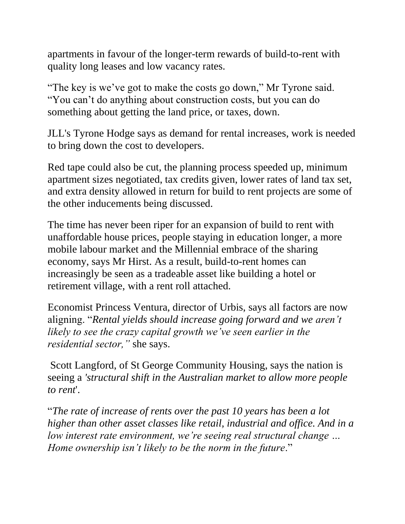apartments in favour of the longer-term rewards of build-to-rent with quality long leases and low vacancy rates.

"The key is we've got to make the costs go down," Mr Tyrone said. "You can't do anything about construction costs, but you can do something about getting the land price, or taxes, down.

JLL's Tyrone Hodge says as demand for rental increases, work is needed to bring down the cost to developers.

Red tape could also be cut, the planning process speeded up, minimum apartment sizes negotiated, tax credits given, lower rates of land tax set, and extra density allowed in return for build to rent projects are some of the other inducements being discussed.

The time has never been riper for an expansion of build to rent with unaffordable house prices, people staying in education longer, a more mobile labour market and the Millennial embrace of the sharing economy, says Mr Hirst. As a result, build-to-rent homes can increasingly be seen as a tradeable asset like building a hotel or retirement village, with a rent roll attached.

Economist Princess Ventura, director of Urbis, says all factors are now aligning. "*Rental yields should increase going forward and we aren't likely to see the crazy capital growth we've seen earlier in the residential sector,"* she says.

Scott Langford, of St George Community Housing, says the nation is seeing a *'structural shift in the Australian market to allow more people to rent*'.

"*The rate of increase of rents over the past 10 years has been a lot higher than other asset classes like retail, industrial and office. And in a low interest rate environment, we're seeing real structural change … Home ownership isn't likely to be the norm in the future*."